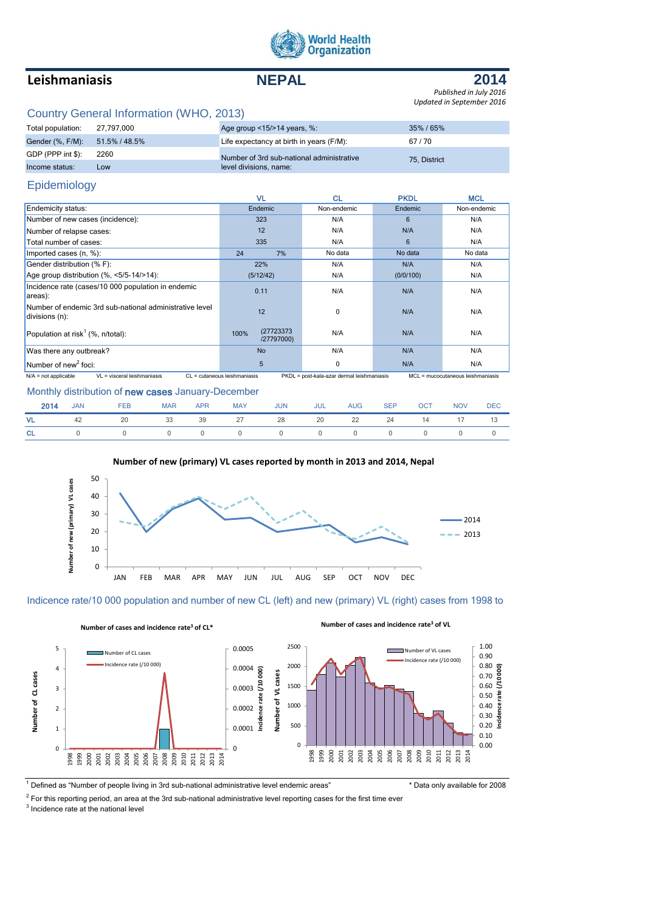

# **Leishmaniasis NEPAL**



*Published in July 2016 Updated in September 2016*

# Country General Information (WHO, 2013)

| Total population:              | 27.797.000 | Age group $\leq$ 15/ $>$ 14 years, %:     | 35%/65%      |
|--------------------------------|------------|-------------------------------------------|--------------|
| Gender (%, F/M): 51.5% / 48.5% |            | Life expectancy at birth in years (F/M):  | 67/70        |
| $GDP$ (PPP int \$):            | 2260       | Number of 3rd sub-national administrative | 75. District |
| Income status:                 | Low        | level divisions, name:                    |              |

## Epidemiology

|                                                                           | VL                               | <b>CL</b>                                  | <b>PKDL</b> | <b>MCL</b>                        |
|---------------------------------------------------------------------------|----------------------------------|--------------------------------------------|-------------|-----------------------------------|
| Endemicity status:                                                        | Endemic                          | Non-endemic                                | Endemic     | Non-endemic                       |
| Number of new cases (incidence):                                          | 323                              | N/A                                        | 6           | N/A                               |
| Number of relapse cases:                                                  | 12                               | N/A                                        | N/A         | N/A                               |
| Total number of cases:                                                    | 335                              | N/A                                        | 6           | N/A                               |
| Imported cases (n, %):                                                    | 24<br>7%                         | No data                                    | No data     | No data                           |
| Gender distribution (% F):                                                | 22%                              | N/A                                        | N/A         | N/A                               |
| Age group distribution $(\% \, <5/5-14/>14)$ :                            | (5/12/42)                        | N/A                                        | (0/0/100)   | N/A                               |
| Incidence rate (cases/10 000 population in endemic<br>areas):             | 0.11                             | N/A                                        | N/A         | N/A                               |
| Number of endemic 3rd sub-national administrative level<br>divisions (n): | 12                               | $\mathbf 0$                                | N/A         | N/A                               |
| Population at risk <sup>1</sup> (%, n/total):                             | (27723373)<br>100%<br>/27797000) | N/A                                        | N/A         | N/A                               |
| Was there any outbreak?                                                   | <b>No</b>                        | N/A                                        | N/A         | N/A                               |
| Number of new <sup>2</sup> foci:                                          | 5                                | 0                                          | N/A         | N/A                               |
| VL = visceral leishmaniasis<br>$N/A$ = not applicable                     | CL = cutaneous leishmaniasis     | PKDL = post-kala-azar dermal leishmaniasis |             | MCL = mucocutaneous leishmaniasis |

#### Monthly distribution of new cases January-December

| 2014 | <b>JAN</b> | <b>FEB</b>                             | MAR | APR MAY JUN | <b>JUL</b> | AUG | <b>SEP</b> | <b>OCT</b> | <b>NOV</b> | <b>DEC</b> |
|------|------------|----------------------------------------|-----|-------------|------------|-----|------------|------------|------------|------------|
|      |            | VL 42 20 33 39 27 28 20 22 24 14 17 13 |     |             |            |     |            |            |            |            |
|      |            | CL 0 0 0 0 0 0 0 0 0 0 0 0 0           |     |             |            |     |            |            |            |            |



### **Number of new (primary) VL cases reported by month in 2013 and 2014, Nepal**



JAN FEB MAR APR MAY JUN JUL AUG SEP OCT NOV DEC



**Number of cases and incidence rate<sup>3</sup> of CL\***

<sup>1</sup> Defined as "Number of people living in 3rd sub-national administrative level endemic areas" \* Data only available for 2008

**Number of cases and incidence rate<sup>3</sup> of VL**

 $2$  For this reporting period, an area at the 3rd sub-national administrative level reporting cases for the first time ever

<sup>3</sup> Incidence rate at the national level